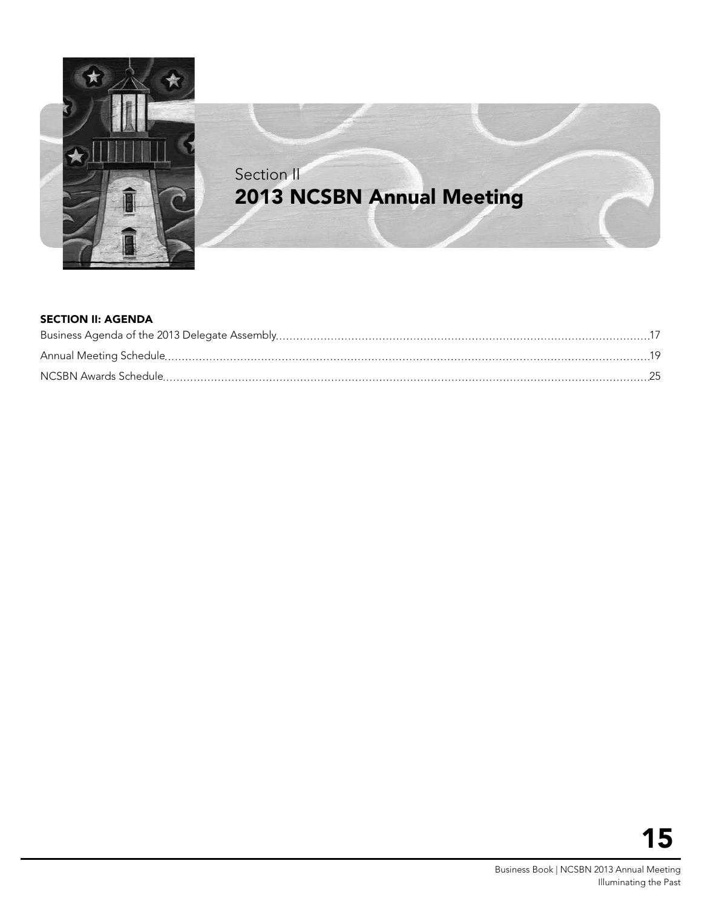

# Section II 2013 NCSBN Annual Meeting

### SECTION II: AGENDA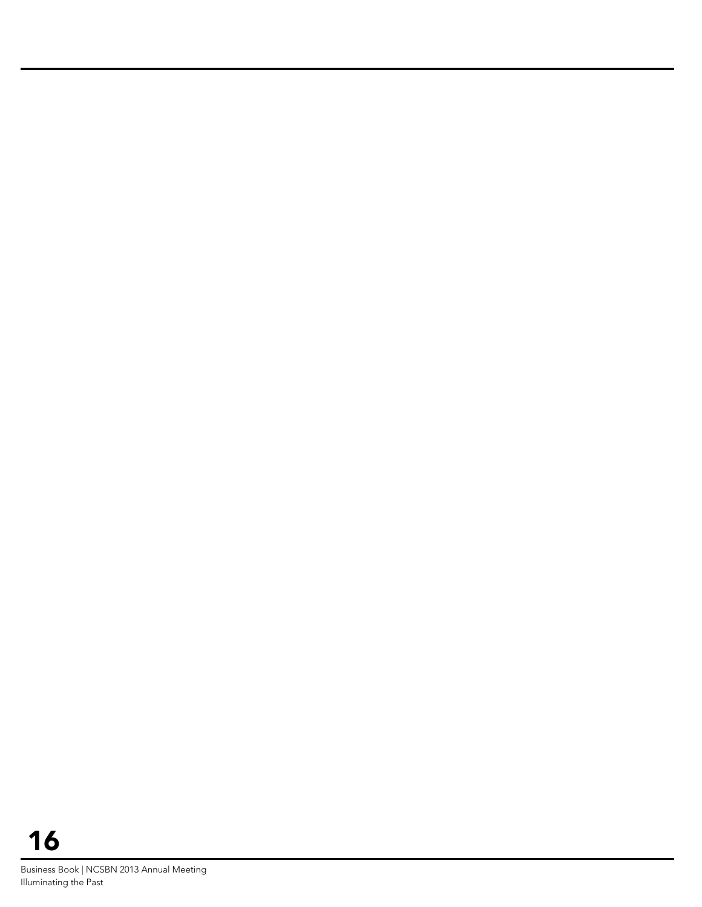### Business Book | NCSBN 2013 Annual Meeting Illuminating the Past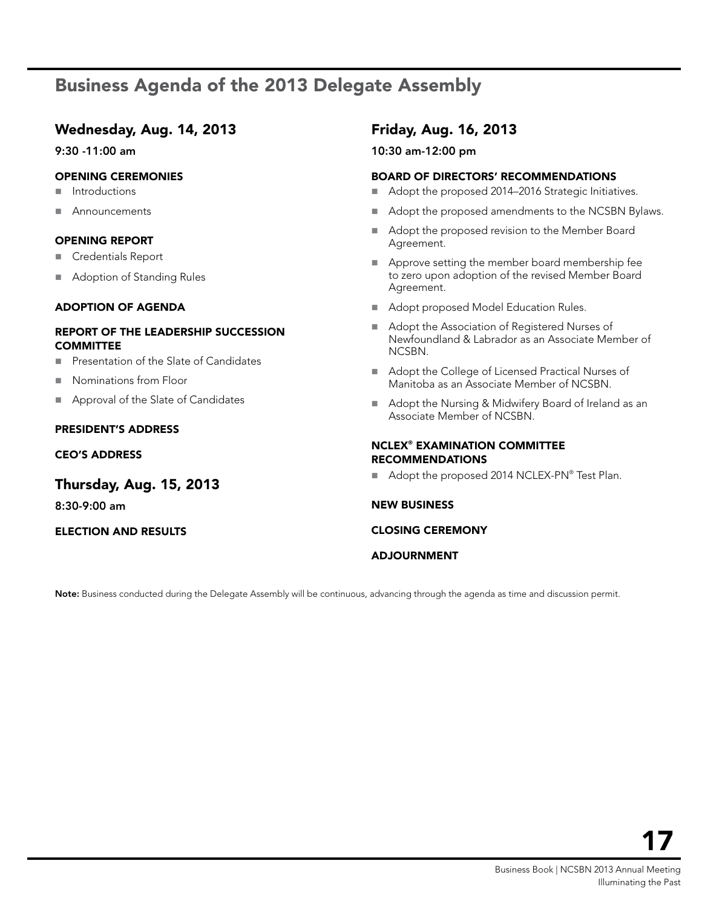# <span id="page-2-0"></span>Business Agenda of the 2013 Delegate Assembly

## Wednesday, Aug. 14, 2013

9:30 -11:00 am

### Opening Ceremonies

- Introductions
- Announcements

### Opening Report

- Credentials Report
- Adoption of Standing Rules

### Adoption of Agenda

### Report of the LEADERSHIP SUCCESSION **COMMITTEE**

- **Presentation of the Slate of Candidates**
- Nominations from Floor
- Approval of the Slate of Candidates

### President's Address

CEO's Address

## Thursday, Aug. 15, 2013

8:30-9:00 am

### Election and Results

## Friday, Aug. 16, 2013

### 10:30 am-12:00 pm

### Board of Directors' Recommendations

- Adopt the proposed 2014–2016 Strategic Initiatives.
- Adopt the proposed amendments to the NCSBN Bylaws.
- Adopt the proposed revision to the Member Board Agreement.
- Approve setting the member board membership fee to zero upon adoption of the revised Member Board Agreement.
- Adopt proposed Model Education Rules.
- Adopt the Association of Registered Nurses of Newfoundland & Labrador as an Associate Member of NCSBN.
- Adopt the College of Licensed Practical Nurses of Manitoba as an Associate Member of NCSBN.
- Adopt the Nursing & Midwifery Board of Ireland as an Associate Member of NCSBN.

### NCLEX® EXAMINATION COMMITTEE RECOMMENDATIONS

■ Adopt the proposed 2014 NCLEX-PN® Test Plan.

### new business

Closing Ceremony

### Adjournment

Note: Business conducted during the Delegate Assembly will be continuous, advancing through the agenda as time and discussion permit.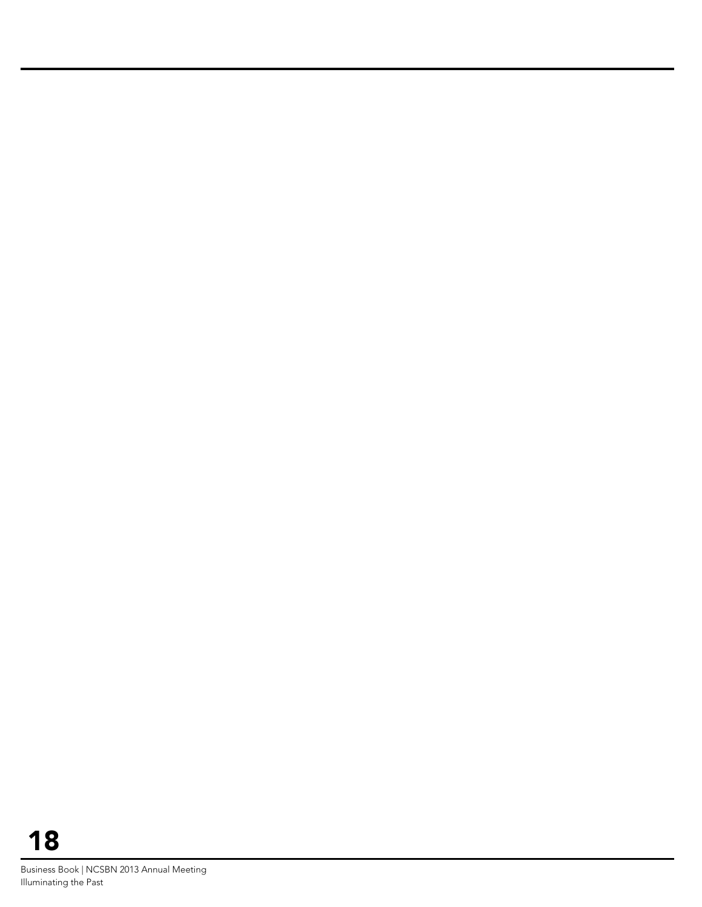# 18

Business Book | NCSBN 2013 Annual Meeting Illuminating the Past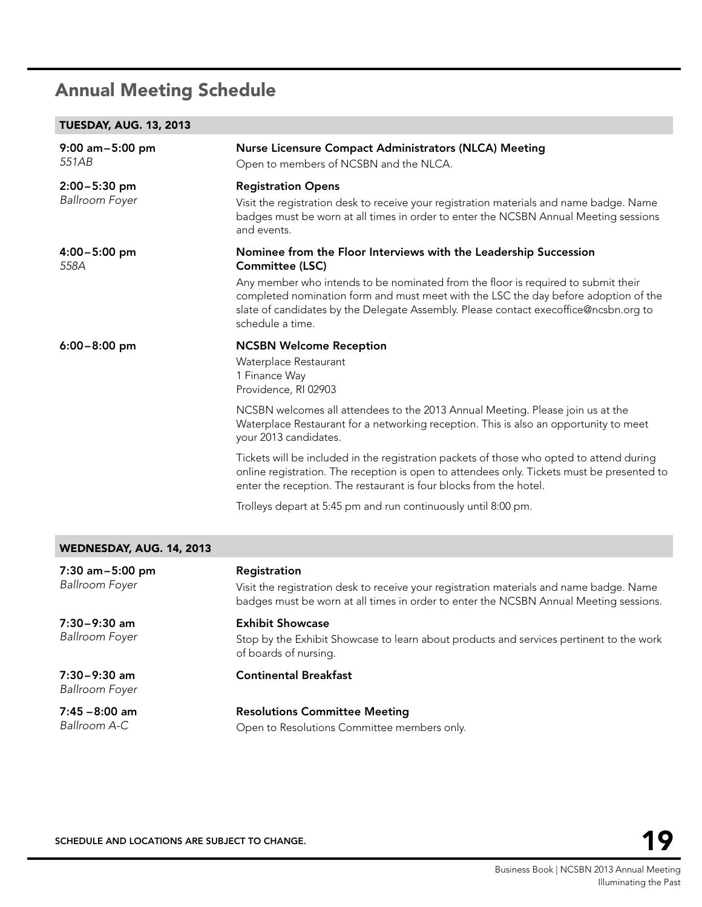# <span id="page-4-0"></span>Annual Meeting Schedule

### Tuesday, Aug. 13, 2013

| 9:00 am-5:00 pm<br>551AB                  | <b>Nurse Licensure Compact Administrators (NLCA) Meeting</b><br>Open to members of NCSBN and the NLCA.                                                                                                                                                                                                                                                                      |
|-------------------------------------------|-----------------------------------------------------------------------------------------------------------------------------------------------------------------------------------------------------------------------------------------------------------------------------------------------------------------------------------------------------------------------------|
| 2:00-5:30 pm<br><b>Ballroom Foyer</b>     | <b>Registration Opens</b><br>Visit the registration desk to receive your registration materials and name badge. Name<br>badges must be worn at all times in order to enter the NCSBN Annual Meeting sessions<br>and events.                                                                                                                                                 |
| $4:00 - 5:00$ pm<br>558A                  | Nominee from the Floor Interviews with the Leadership Succession<br>Committee (LSC)<br>Any member who intends to be nominated from the floor is required to submit their<br>completed nomination form and must meet with the LSC the day before adoption of the<br>slate of candidates by the Delegate Assembly. Please contact execoffice@ncsbn.org to<br>schedule a time. |
| $6:00 - 8:00$ pm                          | <b>NCSBN Welcome Reception</b><br>Waterplace Restaurant<br>1 Finance Way<br>Providence, RI 02903                                                                                                                                                                                                                                                                            |
|                                           | NCSBN welcomes all attendees to the 2013 Annual Meeting. Please join us at the<br>Waterplace Restaurant for a networking reception. This is also an opportunity to meet<br>your 2013 candidates.                                                                                                                                                                            |
|                                           | Tickets will be included in the registration packets of those who opted to attend during<br>online registration. The reception is open to attendees only. Tickets must be presented to<br>enter the reception. The restaurant is four blocks from the hotel.                                                                                                                |
|                                           | Trolleys depart at 5:45 pm and run continuously until 8:00 pm.                                                                                                                                                                                                                                                                                                              |
| WEDNESDAY, AUG. 14, 2013                  |                                                                                                                                                                                                                                                                                                                                                                             |
| 7:30 am-5:00 pm<br><b>Ballroom Foyer</b>  | Registration<br>Visit the registration desk to receive your registration materials and name badge. Name<br>badges must be worn at all times in order to enter the NCSBN Annual Meeting sessions.                                                                                                                                                                            |
| $7:30 - 9:30$ am<br><b>Ballroom Foyer</b> | <b>Exhibit Showcase</b><br>Stop by the Exhibit Showcase to learn about products and services pertinent to the work<br>of boards of nursing.                                                                                                                                                                                                                                 |

7:30–9:30 am *Ballroom Foyer*

7:45 –8:00 am *Ballroom A-C*

Resolutions Committee Meeting

Continental Breakfast

Open to Resolutions Committee members only.

Schedule and locations are Subject to Change.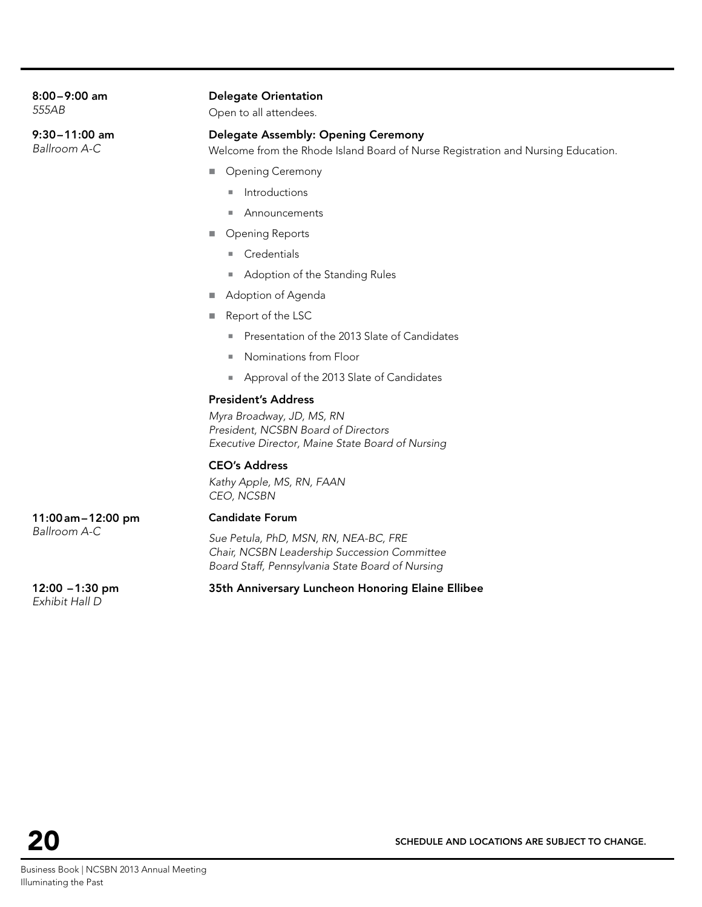8:00–9:00 am *555AB*

9:30–11:00 am *Ballroom A-C*

### Delegate Orientation

Open to all attendees.

### Delegate Assembly: Opening Ceremony

Welcome from the Rhode Island Board of Nurse Registration and Nursing Education.

- **Dening Ceremony** 
	- **Introductions**
	- **Announcements**
- Opening Reports
	- **Credentials**
	- **Adoption of the Standing Rules**
- Adoption of Agenda
- Report of the LSC
	- Presentation of the 2013 Slate of Candidates
	- **Nominations from Floor**
	- Approval of the 2013 Slate of Candidates

#### President's Address

*Myra Broadway, JD, MS, RN President, NCSBN Board of Directors Executive Director, Maine State Board of Nursing*

### CEO's Address

*Kathy Apple, MS, RN, FAAN CEO, NCSBN*

11:00am–12:00 pm *Ballroom A-C*

### Candidate Forum

*Sue Petula, PhD, MSN, RN, NEA-BC, FRE Chair, NCSBN Leadership Succession Committee Board Staff, Pennsylvania State Board of Nursing* 

12:00 –1:30 pm *Exhibit Hall D*

35th Anniversary Luncheon Honoring Elaine Ellibee

Business Book | NCSBN 2013 Annual Meeting Illuminating the Past

Schedule and locations are Subject to Change.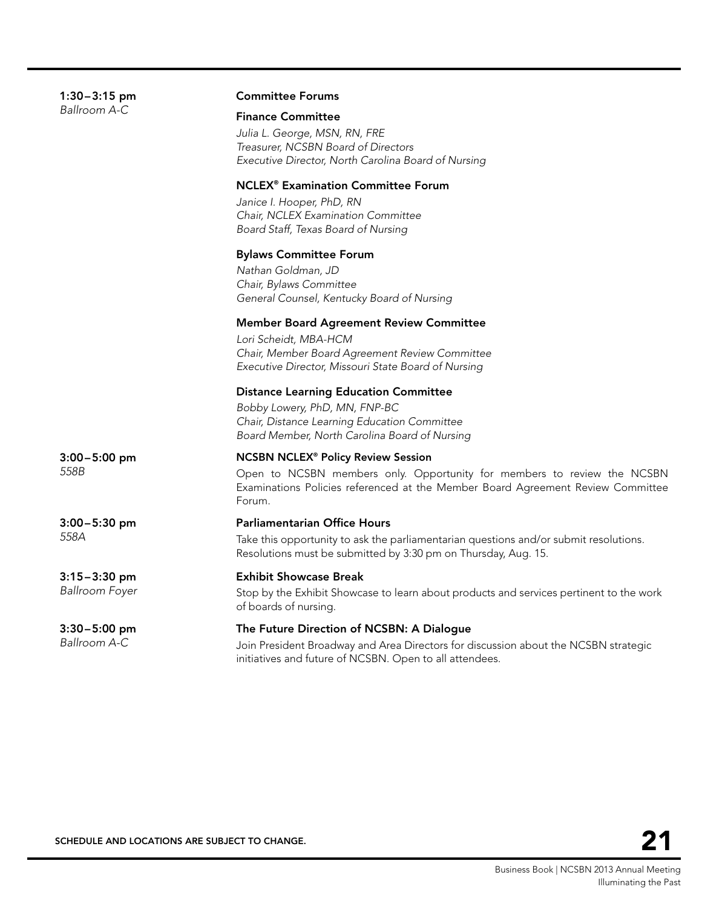| $1:30-3:15$ pm<br><b>Ballroom A-C</b>     | <b>Committee Forums</b>                                                                                                                                 |
|-------------------------------------------|---------------------------------------------------------------------------------------------------------------------------------------------------------|
|                                           | <b>Finance Committee</b>                                                                                                                                |
|                                           | Julia L. George, MSN, RN, FRE                                                                                                                           |
|                                           | Treasurer, NCSBN Board of Directors                                                                                                                     |
|                                           | Executive Director, North Carolina Board of Nursing                                                                                                     |
|                                           | <b>NCLEX<sup>®</sup></b> Examination Committee Forum                                                                                                    |
|                                           | Janice I. Hooper, PhD, RN                                                                                                                               |
|                                           | Chair, NCLEX Examination Committee                                                                                                                      |
|                                           | Board Staff, Texas Board of Nursing                                                                                                                     |
|                                           | <b>Bylaws Committee Forum</b>                                                                                                                           |
|                                           | Nathan Goldman, JD                                                                                                                                      |
|                                           | Chair, Bylaws Committee                                                                                                                                 |
|                                           | General Counsel, Kentucky Board of Nursing                                                                                                              |
|                                           | <b>Member Board Agreement Review Committee</b>                                                                                                          |
|                                           | Lori Scheidt, MBA-HCM                                                                                                                                   |
|                                           | Chair, Member Board Agreement Review Committee                                                                                                          |
|                                           | Executive Director, Missouri State Board of Nursing                                                                                                     |
|                                           | <b>Distance Learning Education Committee</b>                                                                                                            |
|                                           | Bobby Lowery, PhD, MN, FNP-BC                                                                                                                           |
|                                           | Chair, Distance Learning Education Committee                                                                                                            |
|                                           | Board Member, North Carolina Board of Nursing                                                                                                           |
| $3:00 - 5:00$ pm<br>558B                  | <b>NCSBN NCLEX® Policy Review Session</b>                                                                                                               |
|                                           | Open to NCSBN members only. Opportunity for members to review the NCSBN                                                                                 |
|                                           | Examinations Policies referenced at the Member Board Agreement Review Committee                                                                         |
|                                           | Forum.                                                                                                                                                  |
| $3:00 - 5:30$ pm<br>558A                  | <b>Parliamentarian Office Hours</b>                                                                                                                     |
|                                           | Take this opportunity to ask the parliamentarian questions and/or submit resolutions.<br>Resolutions must be submitted by 3:30 pm on Thursday, Aug. 15. |
| $3:15 - 3:30$ pm<br><b>Ballroom Foyer</b> | <b>Exhibit Showcase Break</b>                                                                                                                           |
|                                           | Stop by the Exhibit Showcase to learn about products and services pertinent to the work                                                                 |
|                                           | of boards of nursing.                                                                                                                                   |
| $3:30 - 5:00$ pm<br>Ballroom A-C          | The Future Direction of NCSBN: A Dialogue                                                                                                               |
|                                           | Join President Broadway and Area Directors for discussion about the NCSBN strategic<br>initiatives and future of NCSBN. Open to all attendees.          |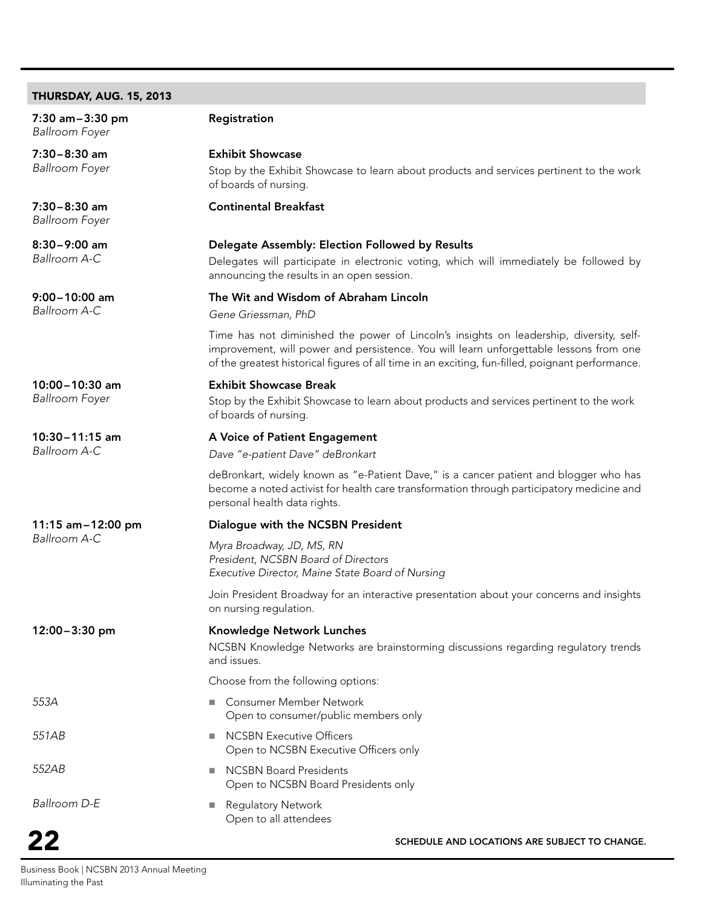### Thursday, Aug. 15, 2013

| 7:30 am-3:30 pm<br><b>Ballroom Foyer</b>  | Registration                                                                                                                                                                                                                                                                          |
|-------------------------------------------|---------------------------------------------------------------------------------------------------------------------------------------------------------------------------------------------------------------------------------------------------------------------------------------|
| $7:30 - 8:30$ am<br><b>Ballroom Foyer</b> | <b>Exhibit Showcase</b><br>Stop by the Exhibit Showcase to learn about products and services pertinent to the work<br>of boards of nursing.                                                                                                                                           |
| $7:30 - 8:30$ am<br><b>Ballroom Foyer</b> | <b>Continental Breakfast</b>                                                                                                                                                                                                                                                          |
| $8:30 - 9:00$ am<br><b>Ballroom A-C</b>   | Delegate Assembly: Election Followed by Results<br>Delegates will participate in electronic voting, which will immediately be followed by<br>announcing the results in an open session.                                                                                               |
| $9:00 - 10:00$ am<br><b>Ballroom A-C</b>  | The Wit and Wisdom of Abraham Lincoln<br>Gene Griessman, PhD                                                                                                                                                                                                                          |
|                                           | Time has not diminished the power of Lincoln's insights on leadership, diversity, self-<br>improvement, will power and persistence. You will learn unforgettable lessons from one<br>of the greatest historical figures of all time in an exciting, fun-filled, poignant performance. |
| 10:00-10:30 am                            | <b>Exhibit Showcase Break</b>                                                                                                                                                                                                                                                         |
| <b>Ballroom Foyer</b>                     | Stop by the Exhibit Showcase to learn about products and services pertinent to the work<br>of boards of nursing.                                                                                                                                                                      |
| 10:30-11:15 am                            | A Voice of Patient Engagement                                                                                                                                                                                                                                                         |
| <b>Ballroom A-C</b>                       | Dave "e-patient Dave" deBronkart                                                                                                                                                                                                                                                      |
|                                           | deBronkart, widely known as "e-Patient Dave," is a cancer patient and blogger who has<br>become a noted activist for health care transformation through participatory medicine and<br>personal health data rights.                                                                    |
| 11:15 am-12:00 pm                         | Dialogue with the NCSBN President                                                                                                                                                                                                                                                     |
| <b>Ballroom A-C</b>                       | Myra Broadway, JD, MS, RN<br>President, NCSBN Board of Directors<br>Executive Director, Maine State Board of Nursing                                                                                                                                                                  |
|                                           | Join President Broadway for an interactive presentation about your concerns and insights<br>on nursing regulation.                                                                                                                                                                    |
| 12:00-3:30 pm                             | Knowledge Network Lunches                                                                                                                                                                                                                                                             |
|                                           | NCSBN Knowledge Networks are brainstorming discussions regarding regulatory trends<br>and issues.                                                                                                                                                                                     |
|                                           | Choose from the following options:                                                                                                                                                                                                                                                    |
| 553A                                      | <b>Consumer Member Network</b><br>п<br>Open to consumer/public members only                                                                                                                                                                                                           |
| 551AB                                     | <b>NCSBN Executive Officers</b><br>п<br>Open to NCSBN Executive Officers only                                                                                                                                                                                                         |
| 552AB                                     | <b>NCSBN Board Presidents</b>                                                                                                                                                                                                                                                         |
|                                           | ×<br>Open to NCSBN Board Presidents only                                                                                                                                                                                                                                              |
| <b>Ballroom D-E</b>                       | <b>Regulatory Network</b><br>$\mathcal{L}_{\mathcal{A}}$<br>Open to all attendees                                                                                                                                                                                                     |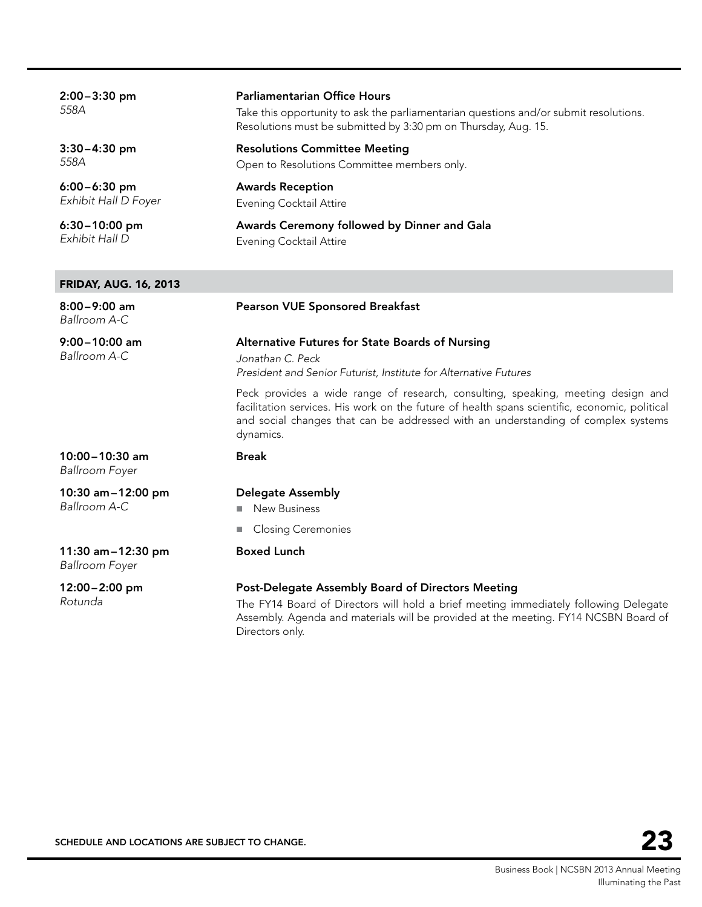| $2:00-3:30$ pm<br>558A                     | <b>Parliamentarian Office Hours</b><br>Take this opportunity to ask the parliamentarian questions and/or submit resolutions.<br>Resolutions must be submitted by 3:30 pm on Thursday, Aug. 15.                                                                                      |
|--------------------------------------------|-------------------------------------------------------------------------------------------------------------------------------------------------------------------------------------------------------------------------------------------------------------------------------------|
| $3:30 - 4:30$ pm<br>558A                   | <b>Resolutions Committee Meeting</b><br>Open to Resolutions Committee members only.                                                                                                                                                                                                 |
| $6:00 - 6:30$ pm<br>Exhibit Hall D Foyer   | <b>Awards Reception</b><br><b>Evening Cocktail Attire</b>                                                                                                                                                                                                                           |
| $6:30 - 10:00$ pm<br>Exhibit Hall D        | Awards Ceremony followed by Dinner and Gala<br><b>Evening Cocktail Attire</b>                                                                                                                                                                                                       |
| <b>FRIDAY, AUG. 16, 2013</b>               |                                                                                                                                                                                                                                                                                     |
| $8:00 - 9:00$ am<br>Ballroom A-C           | <b>Pearson VUE Sponsored Breakfast</b>                                                                                                                                                                                                                                              |
| $9:00 - 10:00$ am<br><b>Ballroom A-C</b>   | <b>Alternative Futures for State Boards of Nursing</b><br>Jonathan C. Peck<br>President and Senior Futurist, Institute for Alternative Futures                                                                                                                                      |
|                                            | Peck provides a wide range of research, consulting, speaking, meeting design and<br>facilitation services. His work on the future of health spans scientific, economic, political<br>and social changes that can be addressed with an understanding of complex systems<br>dynamics. |
| 10:00-10:30 am<br><b>Ballroom Foyer</b>    | <b>Break</b>                                                                                                                                                                                                                                                                        |
| 10:30 am-12:00 pm<br>Ballroom A-C          | <b>Delegate Assembly</b><br><b>New Business</b><br>a a                                                                                                                                                                                                                              |
|                                            | <b>Closing Ceremonies</b><br>$\Box$                                                                                                                                                                                                                                                 |
| 11:30 am-12:30 pm<br><b>Ballroom Foyer</b> | <b>Boxed Lunch</b>                                                                                                                                                                                                                                                                  |
| 12:00-2:00 pm<br>Rotunda                   | Post-Delegate Assembly Board of Directors Meeting<br>The FY14 Board of Directors will hold a brief meeting immediately following Delegate<br>Assembly. Agenda and materials will be provided at the meeting. FY14 NCSBN Board of<br>Directors only.                                 |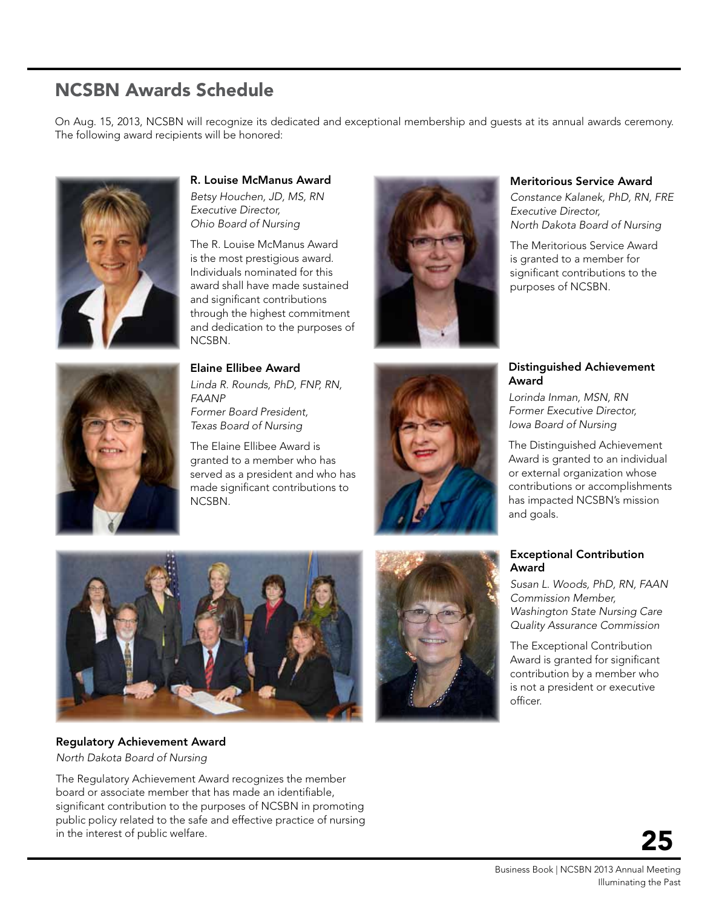# <span id="page-10-0"></span>NCSBN Awards Schedule

On Aug. 15, 2013, NCSBN will recognize its dedicated and exceptional membership and guests at its annual awards ceremony. The following award recipients will be honored:



### R. Louise McManus Award

*Betsy Houchen, JD, MS, RN Executive Director, Ohio Board of Nursing*

The R. Louise McManus Award is the most prestigious award. Individuals nominated for this award shall have made sustained and significant contributions through the highest commitment and dedication to the purposes of NCSBN.



Elaine Ellibee Award *Linda R. Rounds, PhD, FNP, RN, FAANP Former Board President, Texas Board of Nursing*

The Elaine Ellibee Award is granted to a member who has served as a president and who has made significant contributions to



## Meritorious Service Award

*Constance Kalanek, PhD, RN, FRE Executive Director, North Dakota Board of Nursing*

The Meritorious Service Award is granted to a member for significant contributions to the purposes of NCSBN.



### Distinguished Achievement Award

*Lorinda Inman, MSN, RN Former Executive Director, Iowa Board of Nursing*

The Distinguished Achievement Award is granted to an individual or external organization whose contributions or accomplishments has impacted NCSBN's mission and goals.

### Exceptional Contribution Award

*Susan L. Woods, PhD, RN, FAAN Commission Member, Washington State Nursing Care Quality Assurance Commission*

The Exceptional Contribution Award is granted for significant contribution by a member who is not a president or executive officer.







## Regulatory Achievement Award

*North Dakota Board of Nursing*

The Regulatory Achievement Award recognizes the member board or associate member that has made an identifiable, significant contribution to the purposes of NCSBN in promoting public policy related to the safe and effective practice of nursing in the interest of public welfare.